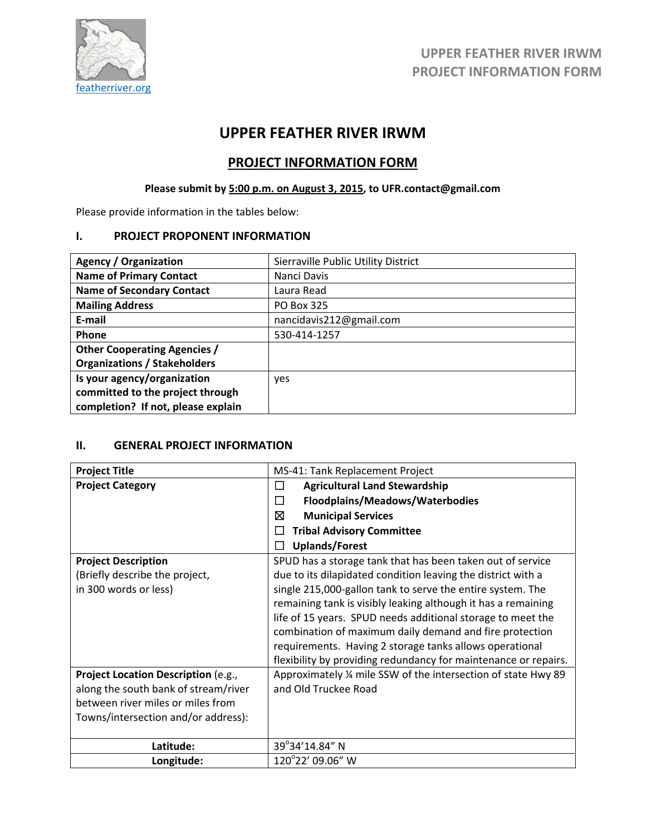

# **UPPER FEATHER RIVER IRWM**

# **PROJECT INFORMATION FORM**

# **Please submit by 5:00 p.m. on August 3, 2015, to UFR.contact@gmail.com**

Please provide information in the tables below:

### **I. PROJECT PROPONENT INFORMATION**

| <b>Agency / Organization</b>        | Sierraville Public Utility District |
|-------------------------------------|-------------------------------------|
| <b>Name of Primary Contact</b>      | Nanci Davis                         |
| <b>Name of Secondary Contact</b>    | Laura Read                          |
| <b>Mailing Address</b>              | PO Box 325                          |
| E-mail                              | nancidavis212@gmail.com             |
| Phone                               | 530-414-1257                        |
| <b>Other Cooperating Agencies /</b> |                                     |
| <b>Organizations / Stakeholders</b> |                                     |
| Is your agency/organization         | yes                                 |
| committed to the project through    |                                     |
| completion? If not, please explain  |                                     |

### **II. GENERAL PROJECT INFORMATION**

| <b>Project Title</b>                 | MS-41: Tank Replacement Project                                 |
|--------------------------------------|-----------------------------------------------------------------|
| <b>Project Category</b>              | <b>Agricultural Land Stewardship</b><br>$\Box$                  |
|                                      | Floodplains/Meadows/Waterbodies<br>□                            |
|                                      | ⊠<br><b>Municipal Services</b>                                  |
|                                      | <b>Tribal Advisory Committee</b><br>$\Box$                      |
|                                      | <b>Uplands/Forest</b><br>I.                                     |
| <b>Project Description</b>           | SPUD has a storage tank that has been taken out of service      |
| (Briefly describe the project,       | due to its dilapidated condition leaving the district with a    |
| in 300 words or less)                | single 215,000-gallon tank to serve the entire system. The      |
|                                      | remaining tank is visibly leaking although it has a remaining   |
|                                      | life of 15 years. SPUD needs additional storage to meet the     |
|                                      | combination of maximum daily demand and fire protection         |
|                                      | requirements. Having 2 storage tanks allows operational         |
|                                      | flexibility by providing redundancy for maintenance or repairs. |
| Project Location Description (e.g.,  | Approximately % mile SSW of the intersection of state Hwy 89    |
| along the south bank of stream/river | and Old Truckee Road                                            |
| between river miles or miles from    |                                                                 |
| Towns/intersection and/or address):  |                                                                 |
|                                      |                                                                 |
| Latitude:                            | 39°34'14.84" N                                                  |
| Longitude:                           | 120°22' 09.06" W                                                |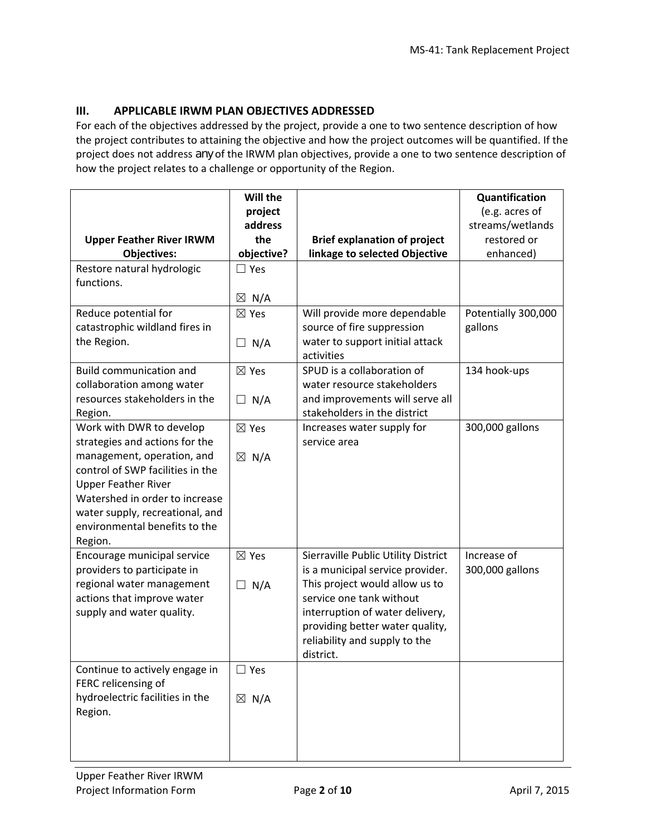### **III. APPLICABLE IRWM PLAN OBJECTIVES ADDRESSED**

For each of the objectives addressed by the project, provide a one to two sentence description of how the project contributes to attaining the objective and how the project outcomes will be quantified. If the project does not address *any* of the IRWM plan objectives, provide a one to two sentence description of how the project relates to a challenge or opportunity of the Region.

|                                                             | Will the<br>project |                                                                         | Quantification<br>(e.g. acres of |
|-------------------------------------------------------------|---------------------|-------------------------------------------------------------------------|----------------------------------|
|                                                             | address             |                                                                         | streams/wetlands                 |
| <b>Upper Feather River IRWM</b>                             | the                 | <b>Brief explanation of project</b>                                     | restored or                      |
| <b>Objectives:</b>                                          | objective?          | linkage to selected Objective                                           | enhanced)                        |
| Restore natural hydrologic                                  | $\square$ Yes       |                                                                         |                                  |
| functions.                                                  |                     |                                                                         |                                  |
|                                                             | $\boxtimes$ N/A     |                                                                         |                                  |
| Reduce potential for                                        | $\boxtimes$ Yes     | Will provide more dependable                                            | Potentially 300,000              |
| catastrophic wildland fires in                              |                     | source of fire suppression                                              | gallons                          |
| the Region.                                                 | $\Box$ N/A          | water to support initial attack                                         |                                  |
|                                                             |                     | activities                                                              |                                  |
| <b>Build communication and</b><br>collaboration among water | $\boxtimes$ Yes     | SPUD is a collaboration of<br>water resource stakeholders               | 134 hook-ups                     |
| resources stakeholders in the                               | $\Box$ N/A          | and improvements will serve all                                         |                                  |
| Region.                                                     |                     | stakeholders in the district                                            |                                  |
| Work with DWR to develop                                    | $\boxtimes$ Yes     | Increases water supply for                                              | 300,000 gallons                  |
| strategies and actions for the                              |                     | service area                                                            |                                  |
| management, operation, and                                  | $\boxtimes$ N/A     |                                                                         |                                  |
| control of SWP facilities in the                            |                     |                                                                         |                                  |
| <b>Upper Feather River</b>                                  |                     |                                                                         |                                  |
| Watershed in order to increase                              |                     |                                                                         |                                  |
| water supply, recreational, and                             |                     |                                                                         |                                  |
| environmental benefits to the                               |                     |                                                                         |                                  |
| Region.                                                     |                     |                                                                         |                                  |
| Encourage municipal service<br>providers to participate in  | $\boxtimes$ Yes     | Sierraville Public Utility District<br>is a municipal service provider. | Increase of<br>300,000 gallons   |
| regional water management                                   | $\Box$ N/A          | This project would allow us to                                          |                                  |
| actions that improve water                                  |                     | service one tank without                                                |                                  |
| supply and water quality.                                   |                     | interruption of water delivery,                                         |                                  |
|                                                             |                     | providing better water quality,                                         |                                  |
|                                                             |                     | reliability and supply to the                                           |                                  |
|                                                             |                     | district.                                                               |                                  |
| Continue to actively engage in                              | $\Box$ Yes          |                                                                         |                                  |
| FERC relicensing of                                         |                     |                                                                         |                                  |
| hydroelectric facilities in the                             | $\boxtimes$ N/A     |                                                                         |                                  |
| Region.                                                     |                     |                                                                         |                                  |
|                                                             |                     |                                                                         |                                  |
|                                                             |                     |                                                                         |                                  |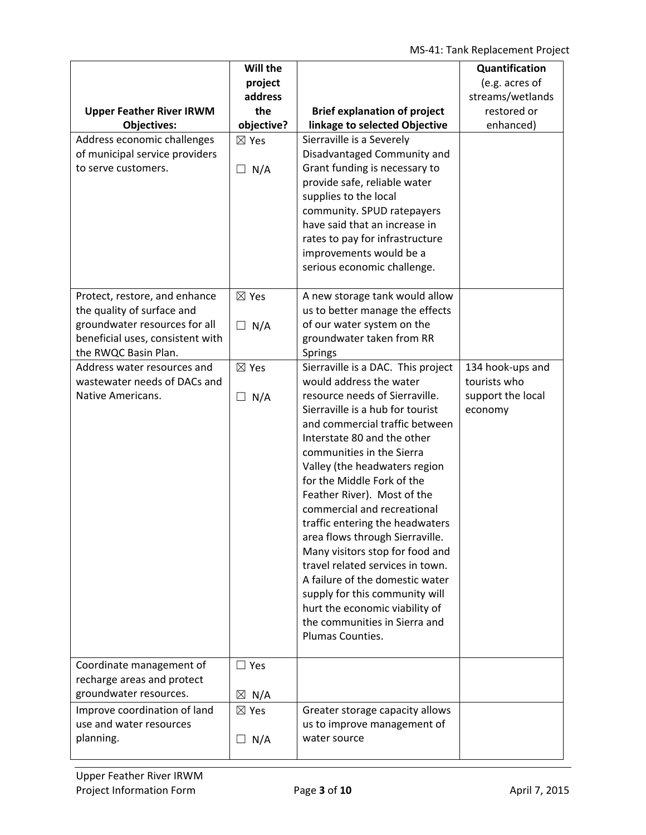| <b>Upper Feather River IRWM</b><br><b>Objectives:</b><br>Address economic challenges<br>of municipal service providers<br>to serve customers.            | Will the<br>project<br>address<br>the<br>objective?<br>$\boxtimes$ Yes<br>$\Box$ N/A | <b>Brief explanation of project</b><br>linkage to selected Objective<br>Sierraville is a Severely<br>Disadvantaged Community and<br>Grant funding is necessary to<br>provide safe, reliable water<br>supplies to the local<br>community. SPUD ratepayers<br>have said that an increase in<br>rates to pay for infrastructure<br>improvements would be a<br>serious economic challenge.                                                                                                                                                                                                                                                                                  | Quantification<br>(e.g. acres of<br>streams/wetlands<br>restored or<br>enhanced) |
|----------------------------------------------------------------------------------------------------------------------------------------------------------|--------------------------------------------------------------------------------------|-------------------------------------------------------------------------------------------------------------------------------------------------------------------------------------------------------------------------------------------------------------------------------------------------------------------------------------------------------------------------------------------------------------------------------------------------------------------------------------------------------------------------------------------------------------------------------------------------------------------------------------------------------------------------|----------------------------------------------------------------------------------|
| Protect, restore, and enhance<br>the quality of surface and<br>groundwater resources for all<br>beneficial uses, consistent with<br>the RWQC Basin Plan. | $\boxtimes$ Yes<br>$\Box$ N/A                                                        | A new storage tank would allow<br>us to better manage the effects<br>of our water system on the<br>groundwater taken from RR<br>Springs                                                                                                                                                                                                                                                                                                                                                                                                                                                                                                                                 |                                                                                  |
| Address water resources and<br>wastewater needs of DACs and<br>Native Americans.                                                                         | $\boxtimes$ Yes<br>$\Box$ N/A                                                        | Sierraville is a DAC. This project<br>would address the water<br>resource needs of Sierraville.<br>Sierraville is a hub for tourist<br>and commercial traffic between<br>Interstate 80 and the other<br>communities in the Sierra<br>Valley (the headwaters region<br>for the Middle Fork of the<br>Feather River). Most of the<br>commercial and recreational<br>traffic entering the headwaters<br>area flows through Sierraville.<br>Many visitors stop for food and<br>travel related services in town.<br>A failure of the domestic water<br>supply for this community will<br>hurt the economic viability of<br>the communities in Sierra and<br>Plumas Counties. | 134 hook-ups and<br>tourists who<br>support the local<br>economy                 |
| Coordinate management of<br>recharge areas and protect<br>groundwater resources.                                                                         | $\Box$ Yes<br>$\boxtimes$ N/A                                                        |                                                                                                                                                                                                                                                                                                                                                                                                                                                                                                                                                                                                                                                                         |                                                                                  |
| Improve coordination of land<br>use and water resources<br>planning.                                                                                     | $\boxtimes$ Yes<br>$\Box$ N/A                                                        | Greater storage capacity allows<br>us to improve management of<br>water source                                                                                                                                                                                                                                                                                                                                                                                                                                                                                                                                                                                          |                                                                                  |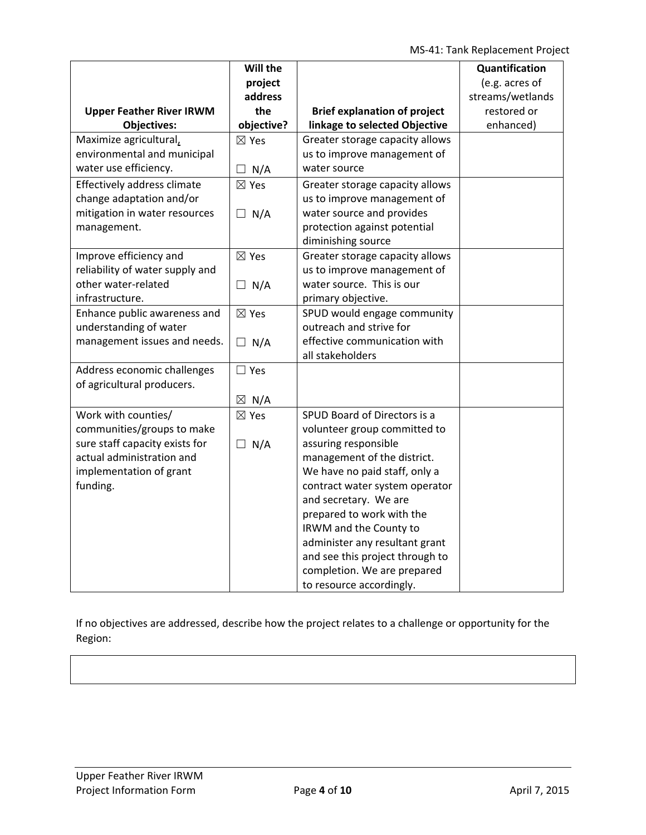MS‐41: Tank Replacement Project

|                                 | Will the        |                                     | Quantification   |
|---------------------------------|-----------------|-------------------------------------|------------------|
|                                 | project         |                                     | (e.g. acres of   |
|                                 | address         |                                     | streams/wetlands |
| <b>Upper Feather River IRWM</b> | the             | <b>Brief explanation of project</b> | restored or      |
| <b>Objectives:</b>              | objective?      | linkage to selected Objective       | enhanced)        |
| Maximize agricultural,          | $\boxtimes$ Yes | Greater storage capacity allows     |                  |
| environmental and municipal     |                 | us to improve management of         |                  |
| water use efficiency.           | N/A<br>П        | water source                        |                  |
| Effectively address climate     | $\boxtimes$ Yes | Greater storage capacity allows     |                  |
| change adaptation and/or        |                 | us to improve management of         |                  |
| mitigation in water resources   | $\Box$ N/A      | water source and provides           |                  |
| management.                     |                 | protection against potential        |                  |
|                                 |                 | diminishing source                  |                  |
| Improve efficiency and          | $\boxtimes$ Yes | Greater storage capacity allows     |                  |
| reliability of water supply and |                 | us to improve management of         |                  |
| other water-related             | $\Box$ N/A      | water source. This is our           |                  |
| infrastructure.                 |                 | primary objective.                  |                  |
| Enhance public awareness and    | $\boxtimes$ Yes | SPUD would engage community         |                  |
| understanding of water          |                 | outreach and strive for             |                  |
| management issues and needs.    | $\Box$ N/A      | effective communication with        |                  |
|                                 |                 | all stakeholders                    |                  |
| Address economic challenges     | $\Box$ Yes      |                                     |                  |
| of agricultural producers.      |                 |                                     |                  |
|                                 | $\boxtimes$ N/A |                                     |                  |
| Work with counties/             | $\boxtimes$ Yes | SPUD Board of Directors is a        |                  |
| communities/groups to make      |                 | volunteer group committed to        |                  |
| sure staff capacity exists for  | $\Box$ N/A      | assuring responsible                |                  |
| actual administration and       |                 | management of the district.         |                  |
| implementation of grant         |                 | We have no paid staff, only a       |                  |
| funding.                        |                 | contract water system operator      |                  |
|                                 |                 | and secretary. We are               |                  |
|                                 |                 | prepared to work with the           |                  |
|                                 |                 | IRWM and the County to              |                  |
|                                 |                 | administer any resultant grant      |                  |
|                                 |                 | and see this project through to     |                  |
|                                 |                 | completion. We are prepared         |                  |
|                                 |                 | to resource accordingly.            |                  |

If no objectives are addressed, describe how the project relates to a challenge or opportunity for the Region: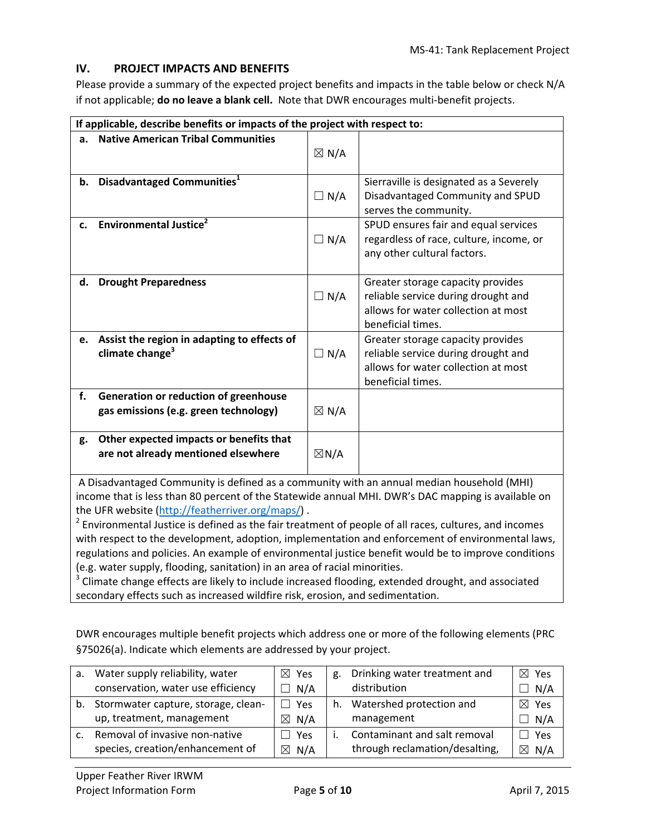### **IV. PROJECT IMPACTS AND BENEFITS**

Please provide a summary of the expected project benefits and impacts in the table below or check N/A if not applicable; **do no leave a blank cell.** Note that DWR encourages multi‐benefit projects.

|                                                                                                                                                                                                                                                                                                                                   | If applicable, describe benefits or impacts of the project with respect to:                                       |                 |                                                           |  |  |  |
|-----------------------------------------------------------------------------------------------------------------------------------------------------------------------------------------------------------------------------------------------------------------------------------------------------------------------------------|-------------------------------------------------------------------------------------------------------------------|-----------------|-----------------------------------------------------------|--|--|--|
| a.                                                                                                                                                                                                                                                                                                                                | <b>Native American Tribal Communities</b>                                                                         |                 |                                                           |  |  |  |
|                                                                                                                                                                                                                                                                                                                                   |                                                                                                                   | $\boxtimes$ N/A |                                                           |  |  |  |
|                                                                                                                                                                                                                                                                                                                                   | b. Disadvantaged Communities <sup>1</sup>                                                                         |                 | Sierraville is designated as a Severely                   |  |  |  |
|                                                                                                                                                                                                                                                                                                                                   |                                                                                                                   | $\Box N/A$      | Disadvantaged Community and SPUD<br>serves the community. |  |  |  |
| c.                                                                                                                                                                                                                                                                                                                                | <b>Environmental Justice</b> <sup>2</sup>                                                                         |                 | SPUD ensures fair and equal services                      |  |  |  |
|                                                                                                                                                                                                                                                                                                                                   |                                                                                                                   | $\Box$ N/A      | regardless of race, culture, income, or                   |  |  |  |
|                                                                                                                                                                                                                                                                                                                                   |                                                                                                                   |                 | any other cultural factors.                               |  |  |  |
| d.                                                                                                                                                                                                                                                                                                                                | <b>Drought Preparedness</b>                                                                                       |                 | Greater storage capacity provides                         |  |  |  |
|                                                                                                                                                                                                                                                                                                                                   |                                                                                                                   | $\Box N/A$      | reliable service during drought and                       |  |  |  |
|                                                                                                                                                                                                                                                                                                                                   |                                                                                                                   |                 | allows for water collection at most<br>beneficial times.  |  |  |  |
| e.                                                                                                                                                                                                                                                                                                                                | Assist the region in adapting to effects of                                                                       |                 | Greater storage capacity provides                         |  |  |  |
|                                                                                                                                                                                                                                                                                                                                   | climate change <sup>3</sup>                                                                                       | $\Box N/A$      | reliable service during drought and                       |  |  |  |
|                                                                                                                                                                                                                                                                                                                                   |                                                                                                                   |                 | allows for water collection at most                       |  |  |  |
|                                                                                                                                                                                                                                                                                                                                   |                                                                                                                   |                 | beneficial times.                                         |  |  |  |
| f.                                                                                                                                                                                                                                                                                                                                | Generation or reduction of greenhouse                                                                             |                 |                                                           |  |  |  |
|                                                                                                                                                                                                                                                                                                                                   | gas emissions (e.g. green technology)                                                                             | $\boxtimes$ N/A |                                                           |  |  |  |
| g.                                                                                                                                                                                                                                                                                                                                | Other expected impacts or benefits that                                                                           |                 |                                                           |  |  |  |
|                                                                                                                                                                                                                                                                                                                                   | are not already mentioned elsewhere                                                                               | $\boxtimes N/A$ |                                                           |  |  |  |
|                                                                                                                                                                                                                                                                                                                                   |                                                                                                                   |                 |                                                           |  |  |  |
|                                                                                                                                                                                                                                                                                                                                   | A Disadvantaged Community is defined as a community with an annual median household (MHI)                         |                 |                                                           |  |  |  |
| income that is less than 80 percent of the Statewide annual MHI. DWR's DAC mapping is available on                                                                                                                                                                                                                                |                                                                                                                   |                 |                                                           |  |  |  |
| the UFR website (http://featherriver.org/maps/).                                                                                                                                                                                                                                                                                  |                                                                                                                   |                 |                                                           |  |  |  |
|                                                                                                                                                                                                                                                                                                                                   | <sup>2</sup> Environmental Justice is defined as the fair treatment of people of all races, cultures, and incomes |                 |                                                           |  |  |  |
| with respect to the development, adoption, implementation and enforcement of environmental laws,<br>the series of the contract of the contract of the contract of the contract of the contract of the contract of the contract of the contract of the contract of the contract of the contract of the contract of the contract of |                                                                                                                   |                 |                                                           |  |  |  |

regulations and policies. An example of environmental justice benefit would be to improve conditions (e.g. water supply, flooding, sanitation) in an area of racial minorities.

<sup>3</sup> Climate change effects are likely to include increased flooding, extended drought, and associated secondary effects such as increased wildfire risk, erosion, and sedimentation.

DWR encourages multiple benefit projects which address one or more of the following elements (PRC §75026(a). Indicate which elements are addressed by your project.

| a. | Water supply reliability, water        | $\boxtimes$ Yes | g. | Drinking water treatment and   | $\boxtimes$ Yes |
|----|----------------------------------------|-----------------|----|--------------------------------|-----------------|
|    | conservation, water use efficiency     | $\Box$ N/A      |    | distribution                   | $\Box$ N/A      |
|    | b. Stormwater capture, storage, clean- | Yes             | h. | Watershed protection and       | $\boxtimes$ Yes |
|    | up, treatment, management              | $\boxtimes$ N/A |    | management                     | $\Box$ N/A      |
|    | Removal of invasive non-native         | $\Box$ Yes      |    | Contaminant and salt removal   | $\Box$ Yes      |
|    | species, creation/enhancement of       | $\boxtimes$ N/A |    | through reclamation/desalting, | $\boxtimes$ N/A |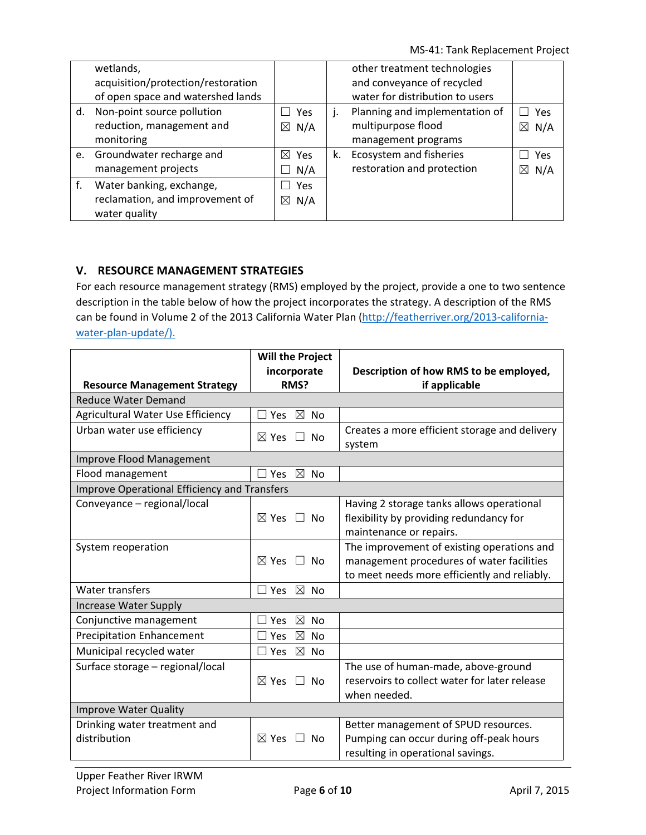MS‐41: Tank Replacement Project

|    | wetlands,                          |                    |    | other treatment technologies    |          |
|----|------------------------------------|--------------------|----|---------------------------------|----------|
|    | acquisition/protection/restoration |                    |    | and conveyance of recycled      |          |
|    | of open space and watershed lands  |                    |    | water for distribution to users |          |
| d. | Non-point source pollution         | Yes                | J. | Planning and implementation of  | Yes      |
|    | reduction, management and          | $\boxtimes$ N/A    |    | multipurpose flood              | N/A<br>⊠ |
|    | monitoring                         |                    |    | management programs             |          |
|    | e. Groundwater recharge and        | $\boxtimes$ Yes    | k. | Ecosystem and fisheries         | Yes      |
|    | management projects                | N/A                |    | restoration and protection      | N/A<br>⊠ |
| f. | Water banking, exchange,           | Yes                |    |                                 |          |
|    | reclamation, and improvement of    | N/A<br>$\boxtimes$ |    |                                 |          |
|    | water quality                      |                    |    |                                 |          |

### **V. RESOURCE MANAGEMENT STRATEGIES**

For each resource management strategy (RMS) employed by the project, provide a one to two sentence description in the table below of how the project incorporates the strategy. A description of the RMS can be found in Volume 2 of the 2013 California Water Plan (http://featherriver.org/2013-californiawater-plan-update/).

|                                                     | <b>Will the Project</b>                           |                                                                                                                                         |
|-----------------------------------------------------|---------------------------------------------------|-----------------------------------------------------------------------------------------------------------------------------------------|
|                                                     | incorporate                                       | Description of how RMS to be employed,                                                                                                  |
| <b>Resource Management Strategy</b>                 | RMS?                                              | if applicable                                                                                                                           |
| <b>Reduce Water Demand</b>                          |                                                   |                                                                                                                                         |
| Agricultural Water Use Efficiency                   | $\boxtimes$ No<br>$\Box$ Yes                      |                                                                                                                                         |
| Urban water use efficiency                          | $\boxtimes$ Yes<br>$\Box$<br><b>No</b>            | Creates a more efficient storage and delivery<br>system                                                                                 |
| <b>Improve Flood Management</b>                     |                                                   |                                                                                                                                         |
| Flood management                                    | $\boxtimes$<br>Yes<br><b>No</b>                   |                                                                                                                                         |
| <b>Improve Operational Efficiency and Transfers</b> |                                                   |                                                                                                                                         |
| Conveyance - regional/local                         | $\boxtimes$ Yes $\Box$<br><b>No</b>               | Having 2 storage tanks allows operational<br>flexibility by providing redundancy for<br>maintenance or repairs.                         |
| System reoperation                                  | $\boxtimes$ Yes<br>$\Box$<br>No                   | The improvement of existing operations and<br>management procedures of water facilities<br>to meet needs more efficiently and reliably. |
| Water transfers                                     | $\boxtimes$<br><b>No</b><br>Yes                   |                                                                                                                                         |
| <b>Increase Water Supply</b>                        |                                                   |                                                                                                                                         |
| Conjunctive management                              | $\boxtimes$<br><b>No</b><br>Yes                   |                                                                                                                                         |
| <b>Precipitation Enhancement</b>                    | $\boxtimes$<br><b>No</b><br>Yes                   |                                                                                                                                         |
| Municipal recycled water                            | $\boxtimes$ No<br>$\Box$ Yes                      |                                                                                                                                         |
| Surface storage - regional/local                    | $\boxtimes$ Yes<br>$\Box$<br><b>No</b>            | The use of human-made, above-ground<br>reservoirs to collect water for later release<br>when needed.                                    |
| <b>Improve Water Quality</b>                        |                                                   |                                                                                                                                         |
| Drinking water treatment and<br>distribution        | $\boxtimes$ Yes<br>$\vert \ \ \vert$<br><b>No</b> | Better management of SPUD resources.<br>Pumping can occur during off-peak hours<br>resulting in operational savings.                    |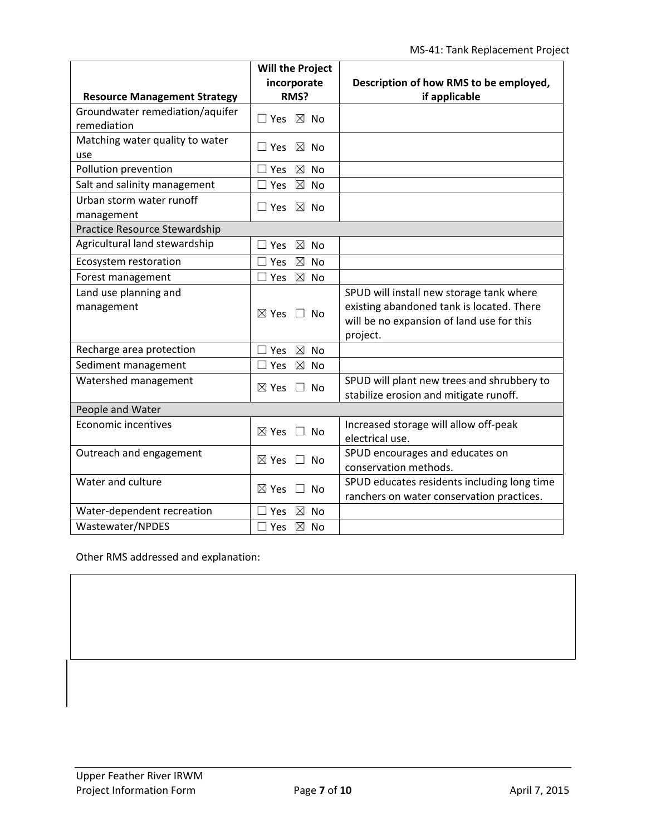|                                        | <b>Will the Project</b>                     |                                                         |
|----------------------------------------|---------------------------------------------|---------------------------------------------------------|
| <b>Resource Management Strategy</b>    | incorporate<br>RMS?                         | Description of how RMS to be employed,<br>if applicable |
| Groundwater remediation/aquifer        |                                             |                                                         |
| remediation                            | $\square$ Yes $\square$ No                  |                                                         |
| Matching water quality to water        | $\Box$ Yes $\boxtimes$ No                   |                                                         |
| use                                    |                                             |                                                         |
| Pollution prevention                   | $\boxtimes$<br><b>No</b><br>Yes             |                                                         |
| Salt and salinity management           | $\boxtimes$<br>$\Box$ Yes<br><b>No</b>      |                                                         |
| Urban storm water runoff<br>management | $\sqsupset$ Yes $\;\boxtimes\;$ No          |                                                         |
| <b>Practice Resource Stewardship</b>   |                                             |                                                         |
| Agricultural land stewardship          | $\boxtimes$<br><b>No</b><br>Yes             |                                                         |
| Ecosystem restoration                  | $\boxtimes$<br>∃ Yes<br><b>No</b>           |                                                         |
| Forest management                      | $\boxtimes$<br>∃ Yes<br><b>No</b>           |                                                         |
| Land use planning and                  |                                             | SPUD will install new storage tank where                |
| management                             | $\boxtimes$ Yes $\Box$ No                   | existing abandoned tank is located. There               |
|                                        |                                             | will be no expansion of land use for this               |
|                                        |                                             | project.                                                |
| Recharge area protection               | $\boxtimes$<br><b>No</b><br>$\sqsupset$ Yes |                                                         |
| Sediment management                    | $\boxtimes$<br>$\exists$ Yes<br><b>No</b>   |                                                         |
| Watershed management                   | $\boxtimes$ Yes<br>No<br>$\perp$            | SPUD will plant new trees and shrubbery to              |
|                                        |                                             | stabilize erosion and mitigate runoff.                  |
| People and Water                       |                                             |                                                         |
| <b>Economic incentives</b>             | $\boxtimes$ Yes $\Box$ No                   | Increased storage will allow off-peak                   |
|                                        |                                             | electrical use.                                         |
| Outreach and engagement                | $\boxtimes$ Yes $\Box$ No                   | SPUD encourages and educates on                         |
|                                        |                                             | conservation methods.                                   |
| Water and culture                      | $\boxtimes$ Yes<br><b>No</b><br>$\Box$      | SPUD educates residents including long time             |
|                                        |                                             | ranchers on water conservation practices.               |
| Water-dependent recreation             | $\boxtimes$ No<br>Yes                       |                                                         |
| Wastewater/NPDES                       | $\boxtimes$ No<br>$\sqsupset$ Yes           |                                                         |

Other RMS addressed and explanation: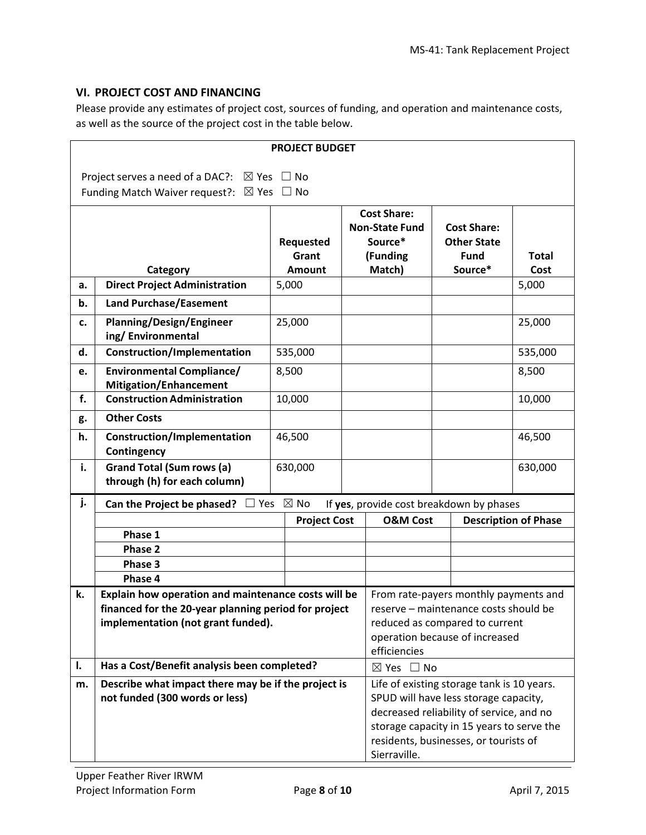### **VI. PROJECT COST AND FINANCING**

Please provide any estimates of project cost, sources of funding, and operation and maintenance costs, as well as the source of the project cost in the table below.

|                                                                                  | <b>PROJECT BUDGET</b>                                                    |                                                |  |                                            |  |                                          |                             |  |
|----------------------------------------------------------------------------------|--------------------------------------------------------------------------|------------------------------------------------|--|--------------------------------------------|--|------------------------------------------|-----------------------------|--|
|                                                                                  | $\boxtimes$ Yes<br>$\Box$ No                                             |                                                |  |                                            |  |                                          |                             |  |
|                                                                                  | Project serves a need of a DAC?:<br>Funding Match Waiver request?:       | $\boxtimes$ Yes $\Box$ No                      |  |                                            |  |                                          |                             |  |
|                                                                                  |                                                                          |                                                |  |                                            |  |                                          |                             |  |
|                                                                                  | <b>Cost Share:</b>                                                       |                                                |  |                                            |  |                                          |                             |  |
|                                                                                  |                                                                          |                                                |  | <b>Non-State Fund</b><br>Source*           |  | <b>Cost Share:</b><br><b>Other State</b> |                             |  |
|                                                                                  |                                                                          | Requested<br>Grant                             |  | (Funding                                   |  | <b>Fund</b>                              | <b>Total</b>                |  |
|                                                                                  | Category                                                                 | Amount                                         |  | Match)                                     |  | Source*                                  | Cost                        |  |
| a.                                                                               | <b>Direct Project Administration</b>                                     | 5,000                                          |  |                                            |  |                                          | 5,000                       |  |
| b.                                                                               | <b>Land Purchase/Easement</b>                                            |                                                |  |                                            |  |                                          |                             |  |
| c.                                                                               | <b>Planning/Design/Engineer</b>                                          | 25,000                                         |  |                                            |  |                                          | 25,000                      |  |
|                                                                                  | ing/Environmental                                                        |                                                |  |                                            |  |                                          |                             |  |
| d.                                                                               | <b>Construction/Implementation</b>                                       | 535,000                                        |  |                                            |  |                                          | 535,000                     |  |
| <b>Environmental Compliance/</b><br>8,500<br>e.<br><b>Mitigation/Enhancement</b> |                                                                          |                                                |  |                                            |  | 8,500                                    |                             |  |
| f.                                                                               | <b>Construction Administration</b>                                       | 10,000                                         |  |                                            |  |                                          | 10,000                      |  |
| g.                                                                               | <b>Other Costs</b>                                                       |                                                |  |                                            |  |                                          |                             |  |
| h.                                                                               | <b>Construction/Implementation</b><br>Contingency                        | 46,500                                         |  |                                            |  |                                          | 46,500                      |  |
| i.                                                                               | <b>Grand Total (Sum rows (a)</b><br>through (h) for each column)         | 630,000                                        |  |                                            |  |                                          | 630,000                     |  |
| j.                                                                               | Can the Project be phased?                                               | ⊃ Yes ⊠ No                                     |  | If yes, provide cost breakdown by phases   |  |                                          |                             |  |
|                                                                                  |                                                                          | <b>Project Cost</b>                            |  | <b>O&amp;M Cost</b>                        |  |                                          | <b>Description of Phase</b> |  |
|                                                                                  | Phase 1                                                                  |                                                |  |                                            |  |                                          |                             |  |
|                                                                                  | Phase 2                                                                  |                                                |  |                                            |  |                                          |                             |  |
|                                                                                  | Phase 3                                                                  |                                                |  |                                            |  |                                          |                             |  |
|                                                                                  | Phase 4                                                                  |                                                |  |                                            |  |                                          |                             |  |
| k.                                                                               | Explain how operation and maintenance costs will be                      |                                                |  | From rate-payers monthly payments and      |  |                                          |                             |  |
|                                                                                  | financed for the 20-year planning period for project                     |                                                |  | reserve - maintenance costs should be      |  |                                          |                             |  |
|                                                                                  | implementation (not grant funded).                                       |                                                |  |                                            |  | reduced as compared to current           |                             |  |
|                                                                                  |                                                                          | operation because of increased<br>efficiencies |  |                                            |  |                                          |                             |  |
| I.                                                                               | Has a Cost/Benefit analysis been completed?<br>$\boxtimes$ Yes $\Box$ No |                                                |  |                                            |  |                                          |                             |  |
| m.                                                                               | Describe what impact there may be if the project is                      |                                                |  | Life of existing storage tank is 10 years. |  |                                          |                             |  |
|                                                                                  | not funded (300 words or less)                                           |                                                |  | SPUD will have less storage capacity,      |  |                                          |                             |  |
|                                                                                  |                                                                          |                                                |  | decreased reliability of service, and no   |  |                                          |                             |  |
|                                                                                  |                                                                          |                                                |  | storage capacity in 15 years to serve the  |  |                                          |                             |  |
|                                                                                  | residents, businesses, or tourists of<br>Sierraville.                    |                                                |  |                                            |  |                                          |                             |  |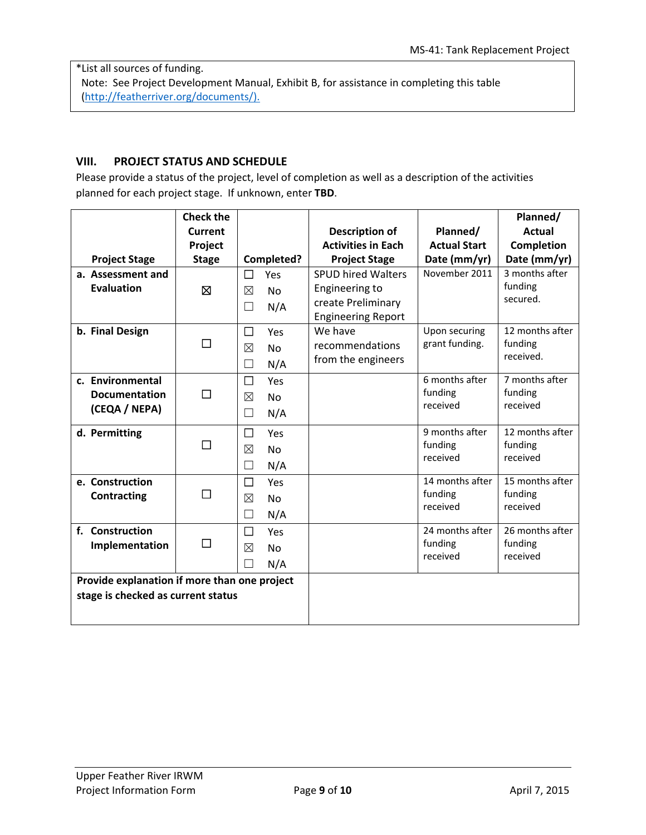\*List all sources of funding. Note: See Project Development Manual, Exhibit B, for assistance in completing this table (http://featherriver.org/documents/).

### **VIII. PROJECT STATUS AND SCHEDULE**

Please provide a status of the project, level of completion as well as a description of the activities planned for each project stage. If unknown, enter **TBD**.

|                                              | <b>Check the</b> |                                 |                           |                     | Planned/          |
|----------------------------------------------|------------------|---------------------------------|---------------------------|---------------------|-------------------|
|                                              | Current          |                                 | <b>Description of</b>     | Planned/            | <b>Actual</b>     |
|                                              | Project          |                                 | <b>Activities in Each</b> | <b>Actual Start</b> | <b>Completion</b> |
| <b>Project Stage</b>                         | <b>Stage</b>     | Completed?                      | <b>Project Stage</b>      | Date (mm/yr)        | Date (mm/yr)      |
| a. Assessment and                            |                  | □<br>Yes                        | <b>SPUD hired Walters</b> | November 2011       | 3 months after    |
| <b>Evaluation</b>                            | Ø                | ⊠<br><b>No</b>                  | Engineering to            |                     | funding           |
|                                              |                  | N/A<br>$\Box$                   | create Preliminary        |                     | secured.          |
|                                              |                  |                                 | <b>Engineering Report</b> |                     |                   |
| b. Final Design                              |                  | □<br>Yes                        | We have                   | Upon securing       | 12 months after   |
|                                              | □                | $\boxtimes$<br>No               | recommendations           | grant funding.      | funding           |
|                                              |                  | N/A<br>П                        | from the engineers        |                     | received.         |
| c. Environmental                             |                  | □<br>Yes                        |                           | 6 months after      | 7 months after    |
| <b>Documentation</b>                         | П                | ⊠<br><b>No</b>                  |                           | funding             | funding           |
| (CEQA / NEPA)                                |                  | N/A<br>$\Box$                   |                           | received            | received          |
|                                              |                  |                                 |                           | 9 months after      | 12 months after   |
| d. Permitting                                | П                | □<br>Yes                        |                           | funding             | funding           |
|                                              |                  | ⊠<br><b>No</b>                  |                           | received            | received          |
|                                              |                  | N/A<br>$\overline{\phantom{a}}$ |                           |                     |                   |
| e. Construction                              |                  | □<br>Yes                        |                           | 14 months after     | 15 months after   |
| Contracting                                  | □                | $\boxtimes$<br><b>No</b>        |                           | funding             | funding           |
|                                              |                  | N/A<br>×                        |                           | received            | received          |
| f. Construction                              |                  | □<br>Yes                        |                           | 24 months after     | 26 months after   |
| Implementation                               | $\Box$           | ⊠<br><b>No</b>                  |                           | funding             | funding           |
|                                              |                  | N/A                             |                           | received            | received          |
| Provide explanation if more than one project |                  |                                 |                           |                     |                   |
| stage is checked as current status           |                  |                                 |                           |                     |                   |
|                                              |                  |                                 |                           |                     |                   |
|                                              |                  |                                 |                           |                     |                   |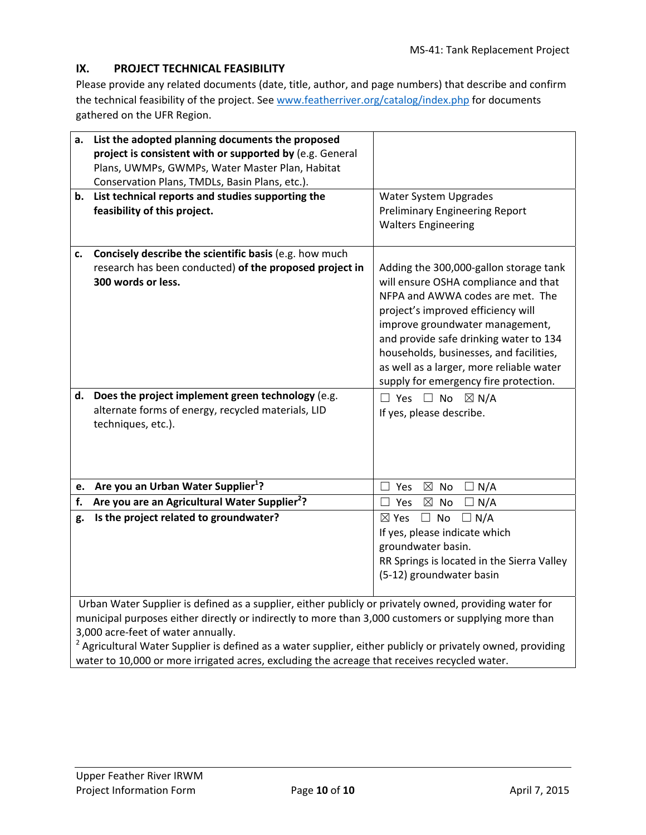# **IX. PROJECT TECHNICAL FEASIBILITY**

Please provide any related documents (date, title, author, and page numbers) that describe and confirm the technical feasibility of the project. See www.featherriver.org/catalog/index.php for documents gathered on the UFR Region.

| a.                                                                                                                                                                                                                                                                                                                                                                | List the adopted planning documents the proposed<br>project is consistent with or supported by (e.g. General<br>Plans, UWMPs, GWMPs, Water Master Plan, Habitat |                                                                                                                                                                                                                                                                                                                                                                       |
|-------------------------------------------------------------------------------------------------------------------------------------------------------------------------------------------------------------------------------------------------------------------------------------------------------------------------------------------------------------------|-----------------------------------------------------------------------------------------------------------------------------------------------------------------|-----------------------------------------------------------------------------------------------------------------------------------------------------------------------------------------------------------------------------------------------------------------------------------------------------------------------------------------------------------------------|
|                                                                                                                                                                                                                                                                                                                                                                   | Conservation Plans, TMDLs, Basin Plans, etc.).<br>b. List technical reports and studies supporting the                                                          | Water System Upgrades                                                                                                                                                                                                                                                                                                                                                 |
|                                                                                                                                                                                                                                                                                                                                                                   | feasibility of this project.                                                                                                                                    | <b>Preliminary Engineering Report</b><br><b>Walters Engineering</b>                                                                                                                                                                                                                                                                                                   |
| c.                                                                                                                                                                                                                                                                                                                                                                | Concisely describe the scientific basis (e.g. how much<br>research has been conducted) of the proposed project in<br>300 words or less.                         | Adding the 300,000-gallon storage tank<br>will ensure OSHA compliance and that<br>NFPA and AWWA codes are met. The<br>project's improved efficiency will<br>improve groundwater management,<br>and provide safe drinking water to 134<br>households, businesses, and facilities,<br>as well as a larger, more reliable water<br>supply for emergency fire protection. |
|                                                                                                                                                                                                                                                                                                                                                                   | d. Does the project implement green technology (e.g.<br>alternate forms of energy, recycled materials, LID<br>techniques, etc.).                                | $\Box$ Yes $\Box$ No<br>$\boxtimes$ N/A<br>If yes, please describe.                                                                                                                                                                                                                                                                                                   |
| e.                                                                                                                                                                                                                                                                                                                                                                | Are you an Urban Water Supplier <sup>1</sup> ?                                                                                                                  | $\boxtimes$ No<br>Yes<br>$\Box$ N/A                                                                                                                                                                                                                                                                                                                                   |
| f.                                                                                                                                                                                                                                                                                                                                                                | Are you are an Agricultural Water Supplier <sup>2</sup> ?                                                                                                       | Yes<br>$\boxtimes$ No<br>$\Box N/A$                                                                                                                                                                                                                                                                                                                                   |
| g.                                                                                                                                                                                                                                                                                                                                                                | Is the project related to groundwater?                                                                                                                          | $\Box$ No<br>$\Box$ N/A<br>$\boxtimes$ Yes<br>If yes, please indicate which<br>groundwater basin.<br>RR Springs is located in the Sierra Valley<br>(5-12) groundwater basin                                                                                                                                                                                           |
| Urban Water Supplier is defined as a supplier, either publicly or privately owned, providing water for<br>municipal purposes either directly or indirectly to more than 3,000 customers or supplying more than<br>3,000 acre-feet of water annually.<br>Agricultural Water Supplier is defined as a water supplier, either publicly or privately owned, providing |                                                                                                                                                                 |                                                                                                                                                                                                                                                                                                                                                                       |

water to 10,000 or more irrigated acres, excluding the acreage that receives recycled water.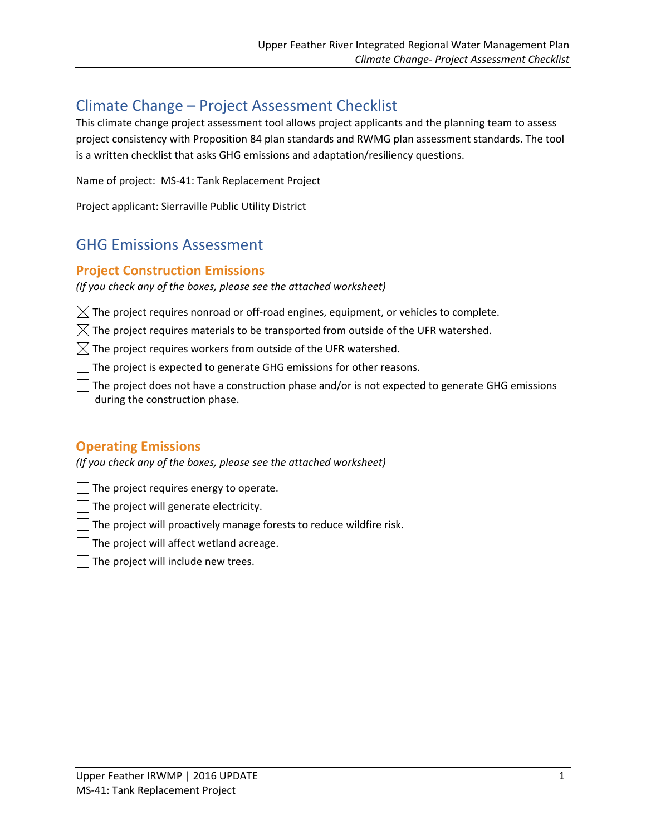# Climate Change – Project Assessment Checklist

This climate change project assessment tool allows project applicants and the planning team to assess project consistency with Proposition 84 plan standards and RWMG plan assessment standards. The tool is a written checklist that asks GHG emissions and adaptation/resiliency questions.

Name of project: MS‐41: Tank Replacement Project

Project applicant: Sierraville Public Utility District

# GHG Emissions Assessment

# **Project Construction Emissions**

*(If you check any of the boxes, please see the attached worksheet)*

 $\boxtimes$  The project requires nonroad or off-road engines, equipment, or vehicles to complete.

 $\boxtimes$  The project requires materials to be transported from outside of the UFR watershed.

 $\boxtimes$  The project requires workers from outside of the UFR watershed.

The project is expected to generate GHG emissions for other reasons.

The project does not have a construction phase and/or is not expected to generate GHG emissions during the construction phase.

# **Operating Emissions**

*(If you check any of the boxes, please see the attached worksheet)*

The project requires energy to operate.

The project will generate electricity.

 $\Box$  The project will proactively manage forests to reduce wildfire risk.

The project will affect wetland acreage.

The project will include new trees.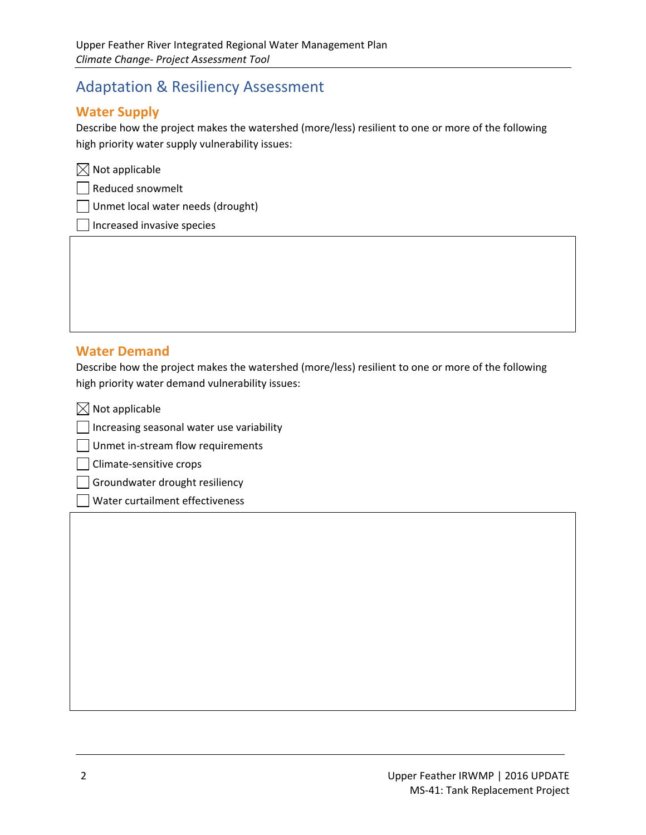# Adaptation & Resiliency Assessment

# **Water Supply**

Describe how the project makes the watershed (more/less) resilient to one or more of the following high priority water supply vulnerability issues:

|  | $\boxtimes$ Not applicable |
|--|----------------------------|
|  |                            |

Reduced snowmelt

Unmet local water needs (drought)

Increased invasive species

# **Water Demand**

Describe how the project makes the watershed (more/less) resilient to one or more of the following high priority water demand vulnerability issues:

<u> 1989 - Andrea Barbara, amerikana amerikana amerikana amerikana amerikana amerikana amerikana amerikana amerik</u>

 $\boxtimes$  Not applicable

Increasing seasonal water use variability

Unmet in-stream flow requirements

Climate‐sensitive crops

Groundwater drought resiliency

Water curtailment effectiveness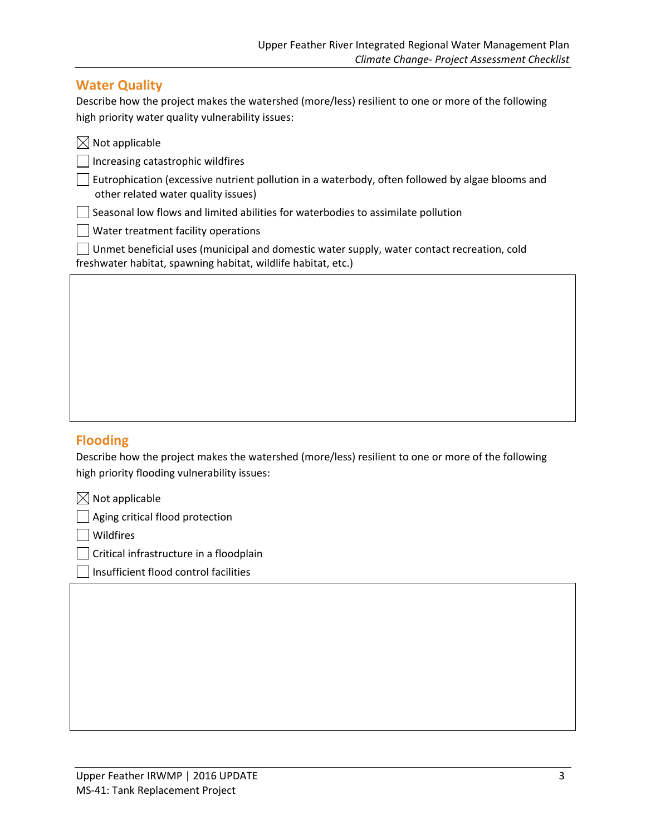# **Water Quality**

Describe how the project makes the watershed (more/less) resilient to one or more of the following high priority water quality vulnerability issues:

| $\boxtimes$ Not applicable                                                                                                                                  |
|-------------------------------------------------------------------------------------------------------------------------------------------------------------|
| Increasing catastrophic wildfires                                                                                                                           |
| Eutrophication (excessive nutrient pollution in a waterbody, often followed by algae blooms and<br>other related water quality issues)                      |
| Seasonal low flows and limited abilities for waterbodies to assimilate pollution                                                                            |
| $\vert$ $\vert$ Water treatment facility operations                                                                                                         |
| Unmet beneficial uses (municipal and domestic water supply, water contact recreation, cold<br>freshwater habitat, spawning habitat, wildlife habitat, etc.) |

# **Flooding**

Describe how the project makes the watershed (more/less) resilient to one or more of the following high priority flooding vulnerability issues:

 $\boxtimes$  Not applicable

 $\Box$  Aging critical flood protection

Wildfires

Critical infrastructure in a floodplain

Insufficient flood control facilities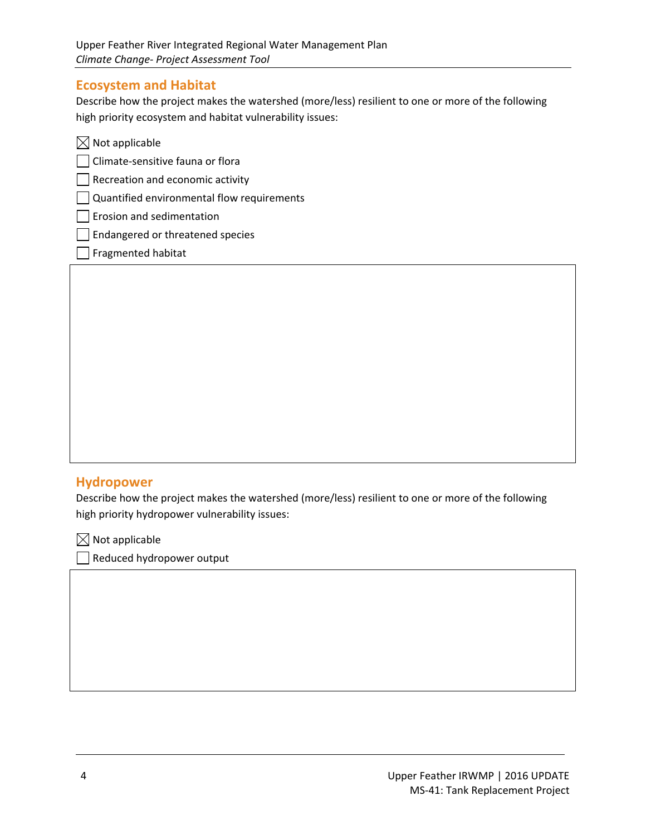# **Ecosystem and Habitat**

Describe how the project makes the watershed (more/less) resilient to one or more of the following high priority ecosystem and habitat vulnerability issues:

| $\boxtimes$ Not applicable                 |  |
|--------------------------------------------|--|
| Climate-sensitive fauna or flora           |  |
| $\vert$ Recreation and economic activity   |  |
| Quantified environmental flow requirements |  |
| Erosion and sedimentation                  |  |
| Endangered or threatened species           |  |
| Fragmented habitat                         |  |

# **Hydropower**

Describe how the project makes the watershed (more/less) resilient to one or more of the following high priority hydropower vulnerability issues:

<u> 1989 - Andrea Barbara, amerikana amerikana amerikana amerikana amerikana amerikana amerikana amerikana amerik</u>

 $\boxtimes$  Not applicable

Reduced hydropower output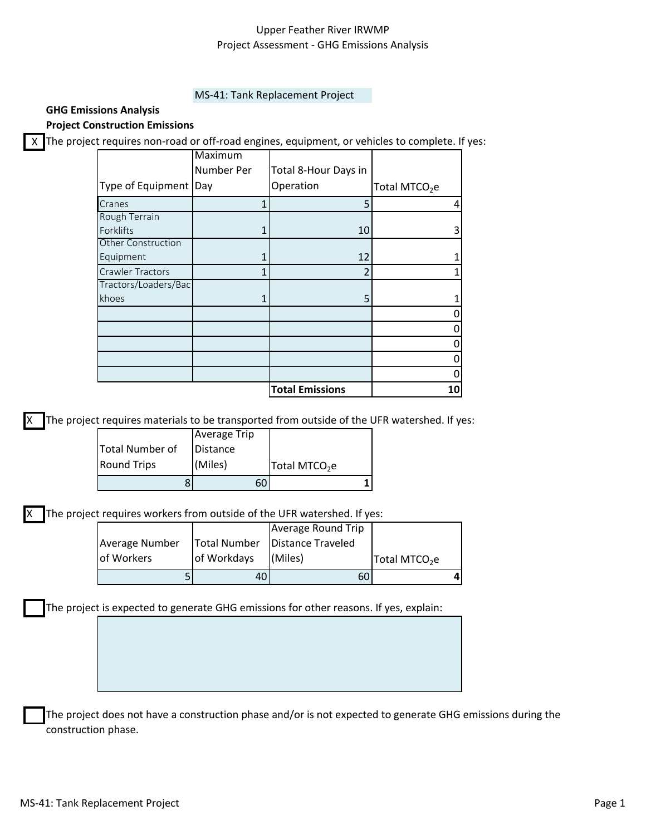### Upper Feather River IRWMP Project Assessment ‐ GHG Emissions Analysis

#### MS‐41: Tank Replacement Project

### **GHG Emissions Analysis**

**Project Construction Emissions**

X The project requires non-road or off-road engines, equipment, or vehicles to complete. If yes:

|                         | Maximum    |                        |                           |
|-------------------------|------------|------------------------|---------------------------|
|                         | Number Per | Total 8-Hour Days in   |                           |
| Type of Equipment       | Day        | Operation              | Total MTCO <sub>2</sub> e |
| Cranes                  |            | 5                      |                           |
| Rough Terrain           |            |                        |                           |
| Forklifts               |            | 10                     | 3                         |
| Other Construction      |            |                        |                           |
| Equipment               |            | 12                     |                           |
| <b>Crawler Tractors</b> | 1          |                        |                           |
| Tractors/Loaders/Bac    |            |                        |                           |
| khoes                   | 1          | 5                      |                           |
|                         |            |                        |                           |
|                         |            |                        |                           |
|                         |            |                        |                           |
|                         |            |                        |                           |
|                         |            |                        |                           |
|                         |            | <b>Total Emissions</b> | 10                        |

The project requires materials to be transported from outside of the UFR watershed. If yes:

| ŏ                      |                     |                           |
|------------------------|---------------------|---------------------------|
| <b>Round Trips</b>     | (Miles)             | Total MTCO <sub>2</sub> e |
| <b>Total Number of</b> | Distance            |                           |
|                        | <b>Average Trip</b> |                           |

The project requires workers from outside of the UFR watershed. If yes:

| Average Number<br>of Workers | of Workdays | Total Number   Distance Traveled<br>I(Miles) | Total MTCO <sub>2</sub> e |  |
|------------------------------|-------------|----------------------------------------------|---------------------------|--|
|                              | 40'         | 60                                           |                           |  |

The project is expected to generate GHG emissions for other reasons. If yes, explain:

The project does not have a construction phase and/or is not expected to generate GHG emissions during the construction phase.